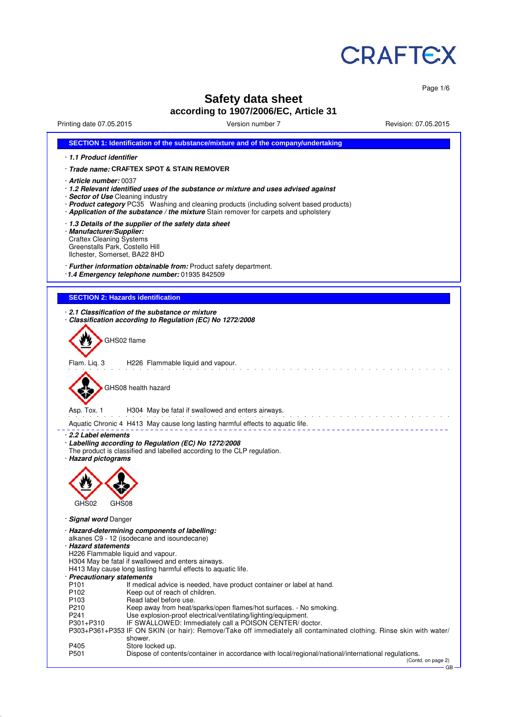

Page 1/6

# **Safety data sheet according to 1907/2006/EC, Article 31**

Printing date 07.05.2015 Version number 7 Revision: 07.05.2015

| SECTION 1: Identification of the substance/mixture and of the company/undertaking                                                                                                                                                                                                                                                             |
|-----------------------------------------------------------------------------------------------------------------------------------------------------------------------------------------------------------------------------------------------------------------------------------------------------------------------------------------------|
| 1.1 Product identifier                                                                                                                                                                                                                                                                                                                        |
| · Trade name: CRAFTEX SPOT & STAIN REMOVER                                                                                                                                                                                                                                                                                                    |
| $\cdot$ Article number: 0037<br>· 1.2 Relevant identified uses of the substance or mixture and uses advised against<br>· Sector of Use Cleaning industry<br>· Product category PC35 Washing and cleaning products (including solvent based products)<br>· Application of the substance / the mixture Stain remover for carpets and upholstery |
| . 1.3 Details of the supplier of the safety data sheet<br>· Manufacturer/Supplier:<br><b>Craftex Cleaning Systems</b><br>Greenstalls Park, Costello Hill<br>Ilchester, Somerset, BA22 8HD                                                                                                                                                     |
| · Further information obtainable from: Product safety department.<br>1.4 Emergency telephone number: 01935 842509                                                                                                                                                                                                                             |
| <b>SECTION 2: Hazards identification</b>                                                                                                                                                                                                                                                                                                      |
| 2.1 Classification of the substance or mixture<br>Classification according to Regulation (EC) No 1272/2008                                                                                                                                                                                                                                    |
| GHS02 flame                                                                                                                                                                                                                                                                                                                                   |
| Flam. Liq. 3<br>H226 Flammable liquid and vapour.                                                                                                                                                                                                                                                                                             |
| GHS08 health hazard                                                                                                                                                                                                                                                                                                                           |
| H304 May be fatal if swallowed and enters airways.<br>Asp. Tox. 1                                                                                                                                                                                                                                                                             |
| Aquatic Chronic 4 H413 May cause long lasting harmful effects to aquatic life.                                                                                                                                                                                                                                                                |
| 2.2 Label elements<br>· Labelling according to Regulation (EC) No 1272/2008<br>The product is classified and labelled according to the CLP regulation.<br>· Hazard pictograms                                                                                                                                                                 |
| GHS02<br>GHS08                                                                                                                                                                                                                                                                                                                                |
| <b>Signal word Danger</b>                                                                                                                                                                                                                                                                                                                     |
| · Hazard-determining components of labelling:<br>alkanes C9 - 12 (isodecane and isoundecane)<br>· Hazard statements<br>H226 Flammable liquid and vapour.<br>H304 May be fatal if swallowed and enters airways.<br>H413 May cause long lasting harmful effects to aquatic life.                                                                |
| · Precautionary statements<br>P <sub>101</sub><br>If medical advice is needed, have product container or label at hand.<br>P102<br>Keep out of reach of children.                                                                                                                                                                             |
| Read label before use.<br>P <sub>103</sub><br>P210<br>Keep away from heat/sparks/open flames/hot surfaces. - No smoking.                                                                                                                                                                                                                      |
| P241<br>Use explosion-proof electrical/ventilating/lighting/equipment.<br>IF SWALLOWED: Immediately call a POISON CENTER/ doctor.<br>P301+P310                                                                                                                                                                                                |
| P303+P361+P353 IF ON SKIN (or hair): Remove/Take off immediately all contaminated clothing. Rinse skin with water/<br>shower.<br>P405<br>Store locked up.                                                                                                                                                                                     |
| P501<br>Dispose of contents/container in accordance with local/regional/national/international regulations.<br>(Contd. on page 2)<br>GB-                                                                                                                                                                                                      |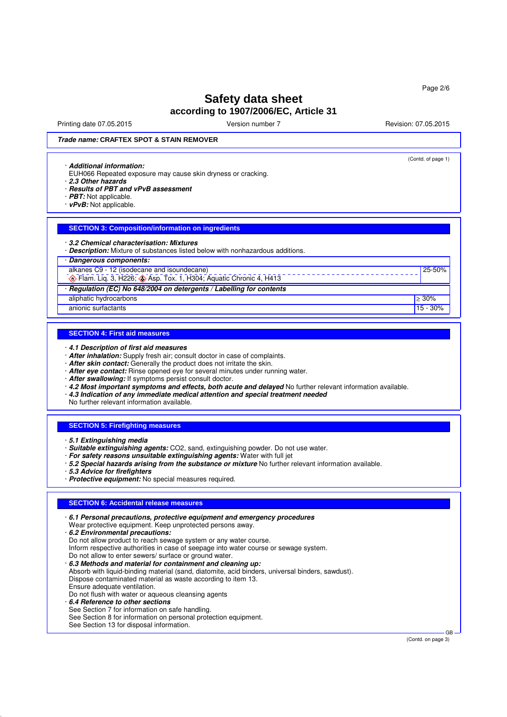Printing date 07.05.2015 Version number 7 Revision: 07.05.2015 Revision: 07.05.2015

(Contd. of page 1)

25-50%

### **Trade name: CRAFTEX SPOT & STAIN REMOVER**

#### · **Additional information:**

- EUH066 Repeated exposure may cause skin dryness or cracking.
- · **2.3 Other hazards**
- · **Results of PBT and vPvB assessment**
- · **PBT:** Not applicable.
- · **vPvB:** Not applicable.

### **SECTION 3: Composition/information on ingredients**

#### · **3.2 Chemical characterisation: Mixtures**

· **Description:** Mixture of substances listed below with nonhazardous additions.

### · **Dangerous components:**

alkanes C9 - 12 (isodecane and isoundecane)

 $\bigotimes$  Flam. Liq. 3, H226;  $\bigotimes$  Asp. Tox. 1, H304; Aquatic Chronic 4, H413

· **Regulation (EC) No 648/2004 on detergents / Labelling for contents**

aliphatic hydrocarbons ≥ 30% ≥ 30% ≥ 30% ≥ 30% ≥ 30% ≥ 30% ≥ 30% ≥ 30% ≥ 30% ≥ 30% ≥ 30% ≥ 30% ≥ 30% ≥ 30% ≥ 30% anionic surfactants 15 - 30% and the surfactants 15 - 30% and the surfactants 15 - 30% and the surfactants 15 - 30% and the surfactants of  $\frac{1}{10}$  - 30% and the surfactants of  $\frac{1}{10}$  - 30% and the surfactants of  $\frac$ 

### **SECTION 4: First aid measures**

· **4.1 Description of first aid measures**

- · **After inhalation:** Supply fresh air; consult doctor in case of complaints.
- · **After skin contact:** Generally the product does not irritate the skin.
- · **After eye contact:** Rinse opened eye for several minutes under running water.
- · **After swallowing:** If symptoms persist consult doctor.
- · **4.2 Most important symptoms and effects, both acute and delayed** No further relevant information available.
- · **4.3 Indication of any immediate medical attention and special treatment needed**

No further relevant information available.

#### **SECTION 5: Firefighting measures**

· **5.1 Extinguishing media**

· **Suitable extinguishing agents:** CO2, sand, extinguishing powder. Do not use water.

- · **For safety reasons unsuitable extinguishing agents:** Water with full jet
- · **5.2 Special hazards arising from the substance or mixture** No further relevant information available.
- · **5.3 Advice for firefighters**
- · **Protective equipment:** No special measures required.

### **SECTION 6: Accidental release measures**

|  | $\cdot$ 6.1 Personal precautions, protective equipment and emergency procedures<br>Wear protective equipment. Keep unprotected persons away.<br>6.2 Environmental precautions:<br>Do not allow product to reach sewage system or any water course.<br>Inform respective authorities in case of seepage into water course or sewage system.<br>Do not allow to enter sewers/ surface or ground water.<br>6.3 Methods and material for containment and cleaning up:<br>Absorb with liquid-binding material (sand, diatomite, acid binders, universal binders, sawdust).<br>Dispose contaminated material as waste according to item 13.<br>Ensure adequate ventilation.<br>Do not flush with water or aqueous cleansing agents<br>6.4 Reference to other sections<br>See Section 7 for information on safe handling.<br>See Section 8 for information on personal protection equipment.<br>See Section 13 for disposal information. |  |
|--|-----------------------------------------------------------------------------------------------------------------------------------------------------------------------------------------------------------------------------------------------------------------------------------------------------------------------------------------------------------------------------------------------------------------------------------------------------------------------------------------------------------------------------------------------------------------------------------------------------------------------------------------------------------------------------------------------------------------------------------------------------------------------------------------------------------------------------------------------------------------------------------------------------------------------------------|--|
|--|-----------------------------------------------------------------------------------------------------------------------------------------------------------------------------------------------------------------------------------------------------------------------------------------------------------------------------------------------------------------------------------------------------------------------------------------------------------------------------------------------------------------------------------------------------------------------------------------------------------------------------------------------------------------------------------------------------------------------------------------------------------------------------------------------------------------------------------------------------------------------------------------------------------------------------------|--|

(Contd. on page 3)

GB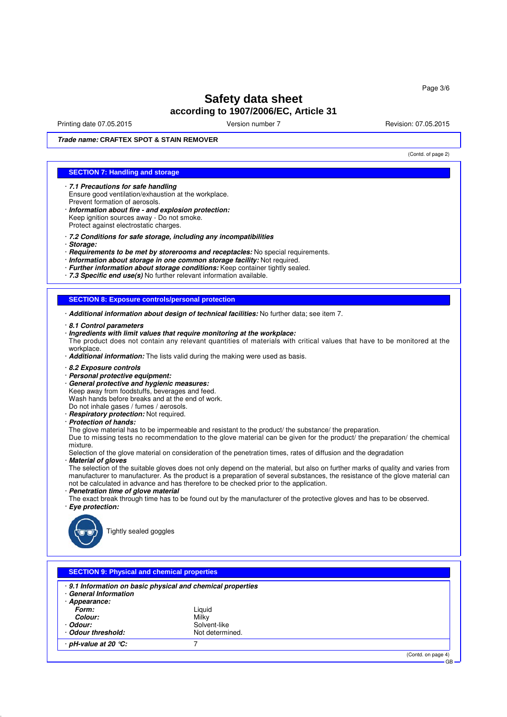Printing date 07.05.2015 Version number 7 Revision: 07.05.2015 Revision: 07.05.2015

(Contd. of page 2)

GB

**Trade name: CRAFTEX SPOT & STAIN REMOVER**

### **SECTION 7: Handling and storage**

- · **7.1 Precautions for safe handling** Ensure good ventilation/exhaustion at the workplace. Prevent formation of aerosols.
- · **Information about fire and explosion protection:** Keep ignition sources away - Do not smoke. Protect against electrostatic charges.
- · **7.2 Conditions for safe storage, including any incompatibilities**
- · **Storage:**
- · **Requirements to be met by storerooms and receptacles:** No special requirements.
- · **Information about storage in one common storage facility:** Not required.
- · **Further information about storage conditions:** Keep container tightly sealed.
- · **7.3 Specific end use(s)** No further relevant information available.

### **SECTION 8: Exposure controls/personal protection**

- · **Additional information about design of technical facilities:** No further data; see item 7.
- · **8.1 Control parameters**
- · **Ingredients with limit values that require monitoring at the workplace:** The product does not contain any relevant quantities of materials with critical values that have to be monitored at the workplace.
- · **Additional information:** The lists valid during the making were used as basis.
- · **8.2 Exposure controls**
- · **Personal protective equipment:**
- · **General protective and hygienic measures:**
- Keep away from foodstuffs, beverages and feed. Wash hands before breaks and at the end of work.
- Do not inhale gases / fumes / aerosols.
- · **Respiratory protection:** Not required.
- · **Protection of hands:**
- The glove material has to be impermeable and resistant to the product/ the substance/ the preparation.

Due to missing tests no recommendation to the glove material can be given for the product/ the preparation/ the chemical mixture.

Selection of the glove material on consideration of the penetration times, rates of diffusion and the degradation · **Material of gloves**

The selection of the suitable gloves does not only depend on the material, but also on further marks of quality and varies from manufacturer to manufacturer. As the product is a preparation of several substances, the resistance of the glove material can not be calculated in advance and has therefore to be checked prior to the application.

- · **Penetration time of glove material**
- The exact break through time has to be found out by the manufacturer of the protective gloves and has to be observed. · **Eye protection:**



Tightly sealed goggles

|                                     | · 9.1 Information on basic physical and chemical properties |  |
|-------------------------------------|-------------------------------------------------------------|--|
| · General Information               |                                                             |  |
| · Appearance:                       |                                                             |  |
| Form:                               | Liguid                                                      |  |
| Colour:                             | Milky                                                       |  |
| · Odour:                            | Solvent-like                                                |  |
| Odour threshold:                    | Not determined.                                             |  |
| $\cdot$ pH-value at 20 $\degree$ C: |                                                             |  |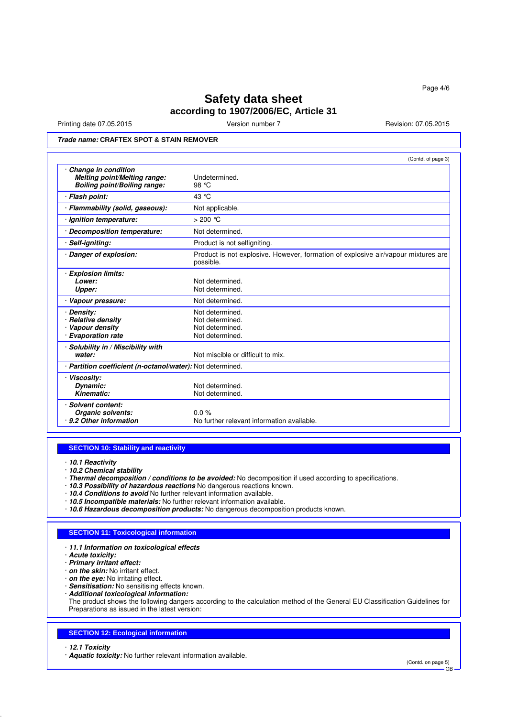Printing date 07.05.2015 Version number 7 Revision: 07.05.2015

## **Trade name: CRAFTEX SPOT & STAIN REMOVER**

|                                                                                     | (Contd. of page 3)                                                                             |
|-------------------------------------------------------------------------------------|------------------------------------------------------------------------------------------------|
| Change in condition<br>Melting point/Melting range:<br>Boiling point/Boiling range: | Undetermined.<br>98 °C                                                                         |
| <b>Flash point:</b>                                                                 | 43 °C                                                                                          |
| Flammability (solid, gaseous):                                                      | Not applicable.                                                                                |
| · Ignition temperature:                                                             | $>200$ °C                                                                                      |
| · Decomposition temperature:                                                        | Not determined.                                                                                |
| Self-igniting:                                                                      | Product is not selfigniting.                                                                   |
| Danger of explosion:                                                                | Product is not explosive. However, formation of explosive air/vapour mixtures are<br>possible. |
| <b>Explosion limits:</b><br>Lower:<br>Upper:                                        | Not determined.<br>Not determined.                                                             |
| Vapour pressure:                                                                    | Not determined.                                                                                |
| Density:<br><b>Relative density</b><br>Vapour density<br><b>Evaporation rate</b>    | Not determined.<br>Not determined.<br>Not determined.<br>Not determined.                       |
| Solubility in / Miscibility with<br>water:                                          | Not miscible or difficult to mix.                                                              |
| · Partition coefficient (n-octanol/water): Not determined.                          |                                                                                                |
| Viscosity:<br>Dynamic:<br>Kinematic:                                                | Not determined.<br>Not determined.                                                             |
| Solvent content:<br>Organic solvents:<br>· 9.2 Other information                    | $0.0\%$<br>No further relevant information available.                                          |

### **SECTION 10: Stability and reactivity**

· **10.1 Reactivity**

- · **10.2 Chemical stability**
- · **Thermal decomposition / conditions to be avoided:** No decomposition if used according to specifications.
- · **10.3 Possibility of hazardous reactions** No dangerous reactions known.
- · **10.4 Conditions to avoid** No further relevant information available.
- · **10.5 Incompatible materials:** No further relevant information available.
- · **10.6 Hazardous decomposition products:** No dangerous decomposition products known.

#### **SECTION 11: Toxicological information**

· **11.1 Information on toxicological effects**

· **Acute toxicity:**

- · **Primary irritant effect:**
- · **on the skin:** No irritant effect.

· **on the eye:** No irritating effect.

- · **Sensitisation:** No sensitising effects known.
- · **Additional toxicological information:**

The product shows the following dangers according to the calculation method of the General EU Classification Guidelines for Preparations as issued in the latest version:

#### **SECTION 12: Ecological information**

· **12.1 Toxicity**

· **Aquatic toxicity:** No further relevant information available.

(Contd. on page 5)

GB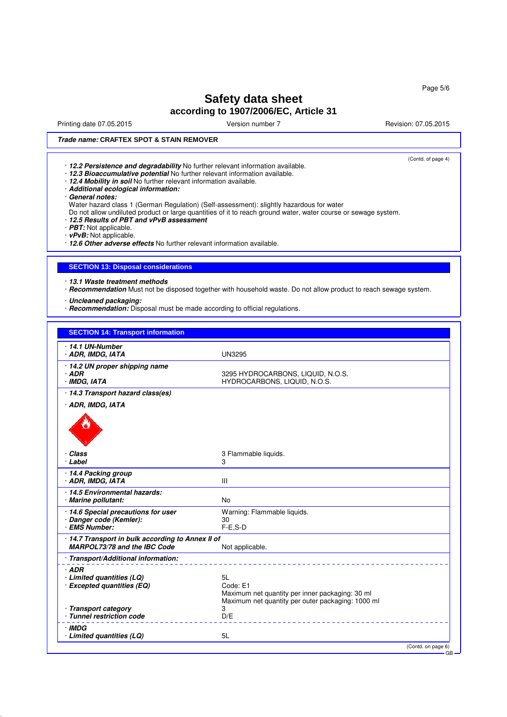Printing date 07.05.2015 Version number 7 Revision: 07.05.2015

(Contd. of page 4)

### **Trade name: CRAFTEX SPOT & STAIN REMOVER**

- · **12.2 Persistence and degradability** No further relevant information available.
- · **12.3 Bioaccumulative potential** No further relevant information available.
- · **12.4 Mobility in soil** No further relevant information available.
- · **Additional ecological information:**
- · **General notes:**
- Water hazard class 1 (German Regulation) (Self-assessment): slightly hazardous for water

Do not allow undiluted product or large quantities of it to reach ground water, water course or sewage system.

· **12.5 Results of PBT and vPvB assessment**

· **PBT:** Not applicable.

· **vPvB:** Not applicable.

· **12.6 Other adverse effects** No further relevant information available.

### **SECTION 13: Disposal considerations**

· **13.1 Waste treatment methods**

· **Recommendation** Must not be disposed together with household waste. Do not allow product to reach sewage system.

· **Uncleaned packaging:**

· **Recommendation:** Disposal must be made according to official regulations.

| <b>SECTION 14: Transport information</b>                                        |                                                                                                      |                           |
|---------------------------------------------------------------------------------|------------------------------------------------------------------------------------------------------|---------------------------|
| $\cdot$ 14.1 UN-Number<br>· ADR, IMDG, IATA                                     | <b>UN3295</b>                                                                                        |                           |
| 14.2 UN proper shipping name<br>$·$ ADR<br>· IMDG, IATA                         | 3295 HYDROCARBONS, LIQUID, N.O.S.<br>HYDROCARBONS, LIQUID, N.O.S.                                    |                           |
| · 14.3 Transport hazard class(es)                                               |                                                                                                      |                           |
| · ADR, IMDG, IATA                                                               |                                                                                                      |                           |
|                                                                                 |                                                                                                      |                           |
| · Class<br>· Label                                                              | 3 Flammable liquids.<br>3                                                                            |                           |
| · 14.4 Packing group<br>· ADR, IMDG, IATA                                       | III                                                                                                  |                           |
| · 14.5 Environmental hazards:<br>· Marine pollutant:                            | <b>No</b>                                                                                            |                           |
| · 14.6 Special precautions for user<br>Danger code (Kemler):                    | Warning: Flammable liquids.<br>30                                                                    |                           |
| · EMS Number:                                                                   | $F-E$ , S-D                                                                                          |                           |
| 14.7 Transport in bulk according to Annex II of<br>MARPOL73/78 and the IBC Code | Not applicable.                                                                                      |                           |
| · Transport/Additional information:                                             |                                                                                                      |                           |
| $·$ ADR<br>$\cdot$ Limited quantities (LQ)<br>· Excepted quantities (EQ)        | 5L<br>Code: E1                                                                                       |                           |
|                                                                                 | Maximum net quantity per inner packaging: 30 ml<br>Maximum net quantity per outer packaging: 1000 ml |                           |
| · Transport category<br>· Tunnel restriction code                               | 3<br>D/E                                                                                             |                           |
| · IMDG<br>· Limited quantities (LQ)                                             | 5L                                                                                                   |                           |
|                                                                                 |                                                                                                      | (Contd. on page 6)<br>GB- |